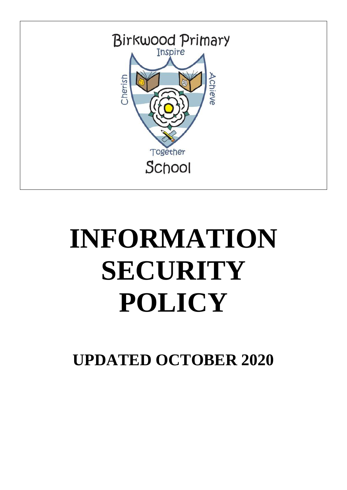

# **INFORMATION SECURITY POLICY**

**UPDATED OCTOBER 2020**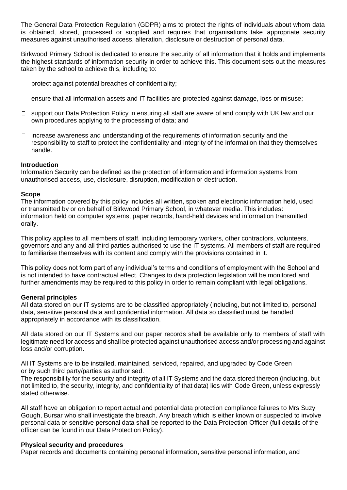The General Data Protection Regulation (GDPR) aims to protect the rights of individuals about whom data is obtained, stored, processed or supplied and requires that organisations take appropriate security measures against unauthorised access, alteration, disclosure or destruction of personal data.

Birkwood Primary School is dedicated to ensure the security of all information that it holds and implements the highest standards of information security in order to achieve this. This document sets out the measures taken by the school to achieve this, including to:

- $\Box$  protect against potential breaches of confidentiality;
- $\Box$  ensure that all information assets and IT facilities are protected against damage, loss or misuse;
- $\Box$  support our Data Protection Policy in ensuring all staff are aware of and comply with UK law and our own procedures applying to the processing of data; and
- $\Box$  increase awareness and understanding of the requirements of information security and the responsibility to staff to protect the confidentiality and integrity of the information that they themselves handle.

# **Introduction**

Information Security can be defined as the protection of information and information systems from unauthorised access, use, disclosure, disruption, modification or destruction.

#### **Scope**

The information covered by this policy includes all written, spoken and electronic information held, used or transmitted by or on behalf of Birkwood Primary School, in whatever media. This includes: information held on computer systems, paper records, hand-held devices and information transmitted orally.

This policy applies to all members of staff, including temporary workers, other contractors, volunteers, governors and any and all third parties authorised to use the IT systems. All members of staff are required to familiarise themselves with its content and comply with the provisions contained in it.

This policy does not form part of any individual's terms and conditions of employment with the School and is not intended to have contractual effect. Changes to data protection legislation will be monitored and further amendments may be required to this policy in order to remain compliant with legal obligations.

#### **General principles**

All data stored on our IT systems are to be classified appropriately (including, but not limited to, personal data, sensitive personal data and confidential information. All data so classified must be handled appropriately in accordance with its classification.

All data stored on our IT Systems and our paper records shall be available only to members of staff with legitimate need for access and shall be protected against unauthorised access and/or processing and against loss and/or corruption.

All IT Systems are to be installed, maintained, serviced, repaired, and upgraded by Code Green or by such third party/parties as authorised.

The responsibility for the security and integrity of all IT Systems and the data stored thereon (including, but not limited to, the security, integrity, and confidentiality of that data) lies with Code Green, unless expressly stated otherwise.

All staff have an obligation to report actual and potential data protection compliance failures to Mrs Suzy Gough, Bursar who shall investigate the breach. Any breach which is either known or suspected to involve personal data or sensitive personal data shall be reported to the Data Protection Officer (full details of the officer can be found in our Data Protection Policy).

#### **Physical security and procedures**

Paper records and documents containing personal information, sensitive personal information, and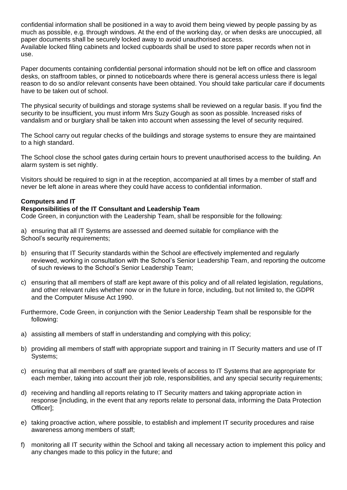confidential information shall be positioned in a way to avoid them being viewed by people passing by as much as possible, e.g. through windows. At the end of the working day, or when desks are unoccupied, all paper documents shall be securely locked away to avoid unauthorised access. Available locked filing cabinets and locked cupboards shall be used to store paper records when not in use.

Paper documents containing confidential personal information should not be left on office and classroom desks, on staffroom tables, or pinned to noticeboards where there is general access unless there is legal reason to do so and/or relevant consents have been obtained. You should take particular care if documents have to be taken out of school.

The physical security of buildings and storage systems shall be reviewed on a regular basis. If you find the security to be insufficient, you must inform Mrs Suzy Gough as soon as possible. Increased risks of vandalism and or burglary shall be taken into account when assessing the level of security required.

The School carry out regular checks of the buildings and storage systems to ensure they are maintained to a high standard.

The School close the school gates during certain hours to prevent unauthorised access to the building. An alarm system is set nightly.

Visitors should be required to sign in at the reception, accompanied at all times by a member of staff and never be left alone in areas where they could have access to confidential information.

# **Computers and IT**

# **Responsibilities of the IT Consultant and Leadership Team**

Code Green, in conjunction with the Leadership Team, shall be responsible for the following:

a) ensuring that all IT Systems are assessed and deemed suitable for compliance with the School's security requirements;

- b) ensuring that IT Security standards within the School are effectively implemented and regularly reviewed, working in consultation with the School's Senior Leadership Team, and reporting the outcome of such reviews to the School's Senior Leadership Team;
- c) ensuring that all members of staff are kept aware of this policy and of all related legislation, regulations, and other relevant rules whether now or in the future in force, including, but not limited to, the GDPR and the Computer Misuse Act 1990.
- Furthermore, Code Green, in conjunction with the Senior Leadership Team shall be responsible for the following:
- a) assisting all members of staff in understanding and complying with this policy;
- b) providing all members of staff with appropriate support and training in IT Security matters and use of IT Systems;
- c) ensuring that all members of staff are granted levels of access to IT Systems that are appropriate for each member, taking into account their job role, responsibilities, and any special security requirements;
- d) receiving and handling all reports relating to IT Security matters and taking appropriate action in response [including, in the event that any reports relate to personal data, informing the Data Protection Officer];
- e) taking proactive action, where possible, to establish and implement IT security procedures and raise awareness among members of staff;
- f) monitoring all IT security within the School and taking all necessary action to implement this policy and any changes made to this policy in the future; and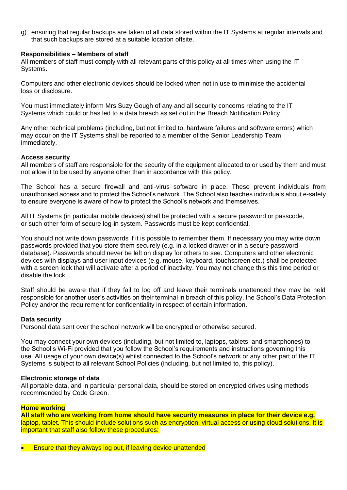g) ensuring that regular backups are taken of all data stored within the IT Systems at regular intervals and that such backups are stored at a suitable location offsite.

# **Responsibilities – Members of staff**

All members of staff must comply with all relevant parts of this policy at all times when using the IT Systems.

Computers and other electronic devices should be locked when not in use to minimise the accidental loss or disclosure.

You must immediately inform Mrs Suzy Gough of any and all security concerns relating to the IT Systems which could or has led to a data breach as set out in the Breach Notification Policy.

Any other technical problems (including, but not limited to, hardware failures and software errors) which may occur on the IT Systems shall be reported to a member of the Senior Leadership Team immediately.

# **Access security**

All members of staff are responsible for the security of the equipment allocated to or used by them and must not allow it to be used by anyone other than in accordance with this policy.

The School has a secure firewall and anti-virus software in place. These prevent individuals from unauthorised access and to protect the School's network. The School also teaches individuals about e-safety to ensure everyone is aware of how to protect the School's network and themselves.

All IT Systems (in particular mobile devices) shall be protected with a secure password or passcode, or such other form of secure log-in system. Passwords must be kept confidential.

You should not write down passwords if it is possible to remember them. If necessary you may write down passwords provided that you store them securely (e.g. in a locked drawer or in a secure password database). Passwords should never be left on display for others to see. Computers and other electronic devices with displays and user input devices (e.g. mouse, keyboard, touchscreen etc.) shall be protected with a screen lock that will activate after a period of inactivity. You may not change this this time period or disable the lock.

Staff should be aware that if they fail to log off and leave their terminals unattended they may be held responsible for another user's activities on their terminal in breach of this policy, the School's Data Protection Policy and/or the requirement for confidentiality in respect of certain information.

#### **Data security**

Personal data sent over the school network will be encrypted or otherwise secured.

You may connect your own devices (including, but not limited to, laptops, tablets, and smartphones) to the School's Wi-Fi provided that you follow the School's requirements and instructions governing this use. All usage of your own device(s) whilst connected to the School's network or any other part of the IT Systems is subject to all relevant School Policies (including, but not limited to, this policy).

#### **Electronic storage of data**

All portable data, and in particular personal data, should be stored on encrypted drives using methods recommended by Code Green.

#### **Home working**

**All staff who are working from home should have security measures in place for their device e.g.**  laptop, tablet. This should include solutions such as encryption, virtual access or using cloud solutions. It is important that staff also follow these procedures:

• Ensure that they always log out, if leaving device unattended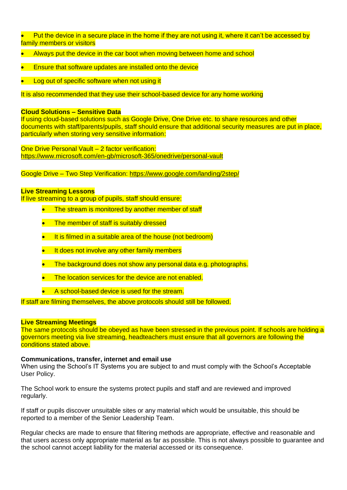- Put the device in a secure place in the home if they are not using it, where it can't be accessed by family members or visitors
- Always put the device in the car boot when moving between home and school
- Ensure that software updates are installed onto the device
- Log out of specific software when not using it

It is also recommended that they use their school-based device for any home working

#### **Cloud Solutions – Sensitive Data**

If using cloud-based solutions such as Google Drive, One Drive etc. to share resources and other documents with staff/parents/pupils, staff should ensure that additional security measures are put in place, particularly when storing very sensitive information:

One Drive Personal Vault – 2 factor verification: <https://www.microsoft.com/en-gb/microsoft-365/onedrive/personal-vault>

Google Drive – Two Step Verification:<https://www.google.com/landing/2step/>

# **Live Streaming Lessons**

If live streaming to a group of pupils, staff should ensure:

- **The stream is monitored by another member of staff**
- The member of staff is suitably dressed
- It is filmed in a suitable area of the house (not bedroom)
- It does not involve any other family members
- The background does not show any personal data e.g. photographs.
- The location services for the device are not enabled.
- A school-based device is used for the stream.

If staff are filming themselves, the above protocols should still be followed.

# **Live Streaming Meetings**

The same protocols should be obeyed as have been stressed in the previous point. If schools are holding a governors meeting via live streaming, headteachers must ensure that all governors are following the conditions stated above.

# **Communications, transfer, internet and email use**

When using the School's IT Systems you are subject to and must comply with the School's Acceptable User Policy.

The School work to ensure the systems protect pupils and staff and are reviewed and improved regularly.

If staff or pupils discover unsuitable sites or any material which would be unsuitable, this should be reported to a member of the Senior Leadership Team.

Regular checks are made to ensure that filtering methods are appropriate, effective and reasonable and that users access only appropriate material as far as possible. This is not always possible to guarantee and the school cannot accept liability for the material accessed or its consequence.